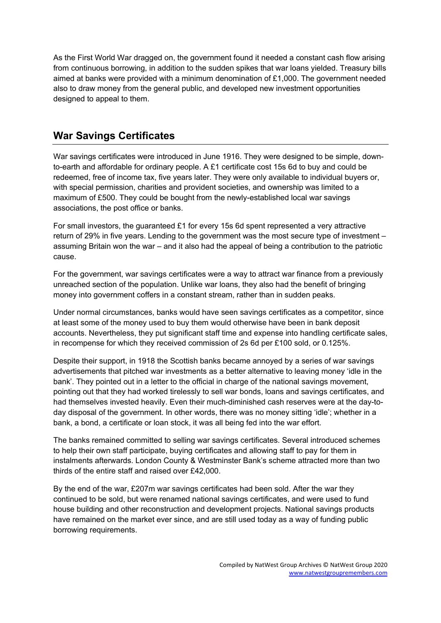As the First World War dragged on, the government found it needed a constant cash flow arising from continuous borrowing, in addition to the sudden spikes that war loans yielded. Treasury bills aimed at banks were provided with a minimum denomination of £1,000. The government needed also to draw money from the general public, and developed new investment opportunities designed to appeal to them.

## **War Savings Certificates**

War savings certificates were introduced in June 1916. They were designed to be simple, downto-earth and affordable for ordinary people. A £1 certificate cost 15s 6d to buy and could be redeemed, free of income tax, five years later. They were only available to individual buyers or, with special permission, charities and provident societies, and ownership was limited to a maximum of £500. They could be bought from the newly-established local war savings associations, the post office or banks.

For small investors, the guaranteed £1 for every 15s 6d spent represented a very attractive return of 29% in five years. Lending to the government was the most secure type of investment – assuming Britain won the war – and it also had the appeal of being a contribution to the patriotic cause.

For the government, war savings certificates were a way to attract war finance from a previously unreached section of the population. Unlike war loans, they also had the benefit of bringing money into government coffers in a constant stream, rather than in sudden peaks.

Under normal circumstances, banks would have seen savings certificates as a competitor, since at least some of the money used to buy them would otherwise have been in bank deposit accounts. Nevertheless, they put significant staff time and expense into handling certificate sales, in recompense for which they received commission of 2s 6d per £100 sold, or 0.125%.

Despite their support, in 1918 the Scottish banks became annoyed by a series of war savings advertisements that pitched war investments as a better alternative to leaving money 'idle in the bank'. They pointed out in a letter to the official in charge of the national savings movement, pointing out that they had worked tirelessly to sell war bonds, loans and savings certificates, and had themselves invested heavily. Even their much-diminished cash reserves were at the day-today disposal of the government. In other words, there was no money sitting 'idle'; whether in a bank, a bond, a certificate or loan stock, it was all being fed into the war effort.

The banks remained committed to selling war savings certificates. Several introduced schemes to help their own staff participate, buying certificates and allowing staff to pay for them in instalments afterwards. London County & Westminster Bank's scheme attracted more than two thirds of the entire staff and raised over £42,000.

By the end of the war, £207m war savings certificates had been sold. After the war they continued to be sold, but were renamed national savings certificates, and were used to fund house building and other reconstruction and development projects. National savings products have remained on the market ever since, and are still used today as a way of funding public borrowing requirements.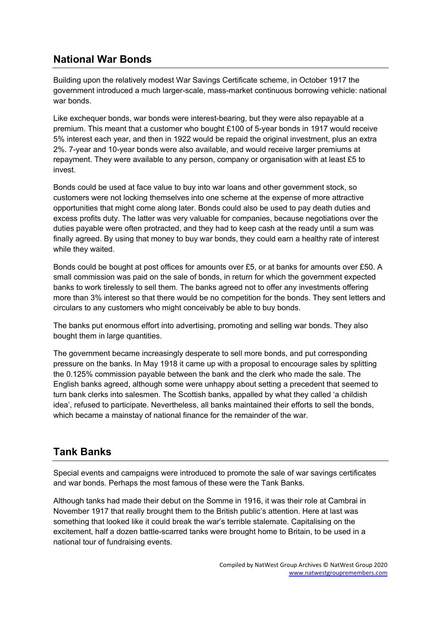## **National War Bonds**

Building upon the relatively modest War Savings Certificate scheme, in October 1917 the government introduced a much larger-scale, mass-market continuous borrowing vehicle: national war bonds.

Like exchequer bonds, war bonds were interest-bearing, but they were also repayable at a premium. This meant that a customer who bought £100 of 5-year bonds in 1917 would receive 5% interest each year, and then in 1922 would be repaid the original investment, plus an extra 2%. 7-year and 10-year bonds were also available, and would receive larger premiums at repayment. They were available to any person, company or organisation with at least £5 to invest.

Bonds could be used at face value to buy into war loans and other government stock, so customers were not locking themselves into one scheme at the expense of more attractive opportunities that might come along later. Bonds could also be used to pay death duties and excess profits duty. The latter was very valuable for companies, because negotiations over the duties payable were often protracted, and they had to keep cash at the ready until a sum was finally agreed. By using that money to buy war bonds, they could earn a healthy rate of interest while they waited.

Bonds could be bought at post offices for amounts over £5, or at banks for amounts over £50. A small commission was paid on the sale of bonds, in return for which the government expected banks to work tirelessly to sell them. The banks agreed not to offer any investments offering more than 3% interest so that there would be no competition for the bonds. They sent letters and circulars to any customers who might conceivably be able to buy bonds.

The banks put enormous effort into advertising, promoting and selling war bonds. They also bought them in large quantities.

The government became increasingly desperate to sell more bonds, and put corresponding pressure on the banks. In May 1918 it came up with a proposal to encourage sales by splitting the 0.125% commission payable between the bank and the clerk who made the sale. The English banks agreed, although some were unhappy about setting a precedent that seemed to turn bank clerks into salesmen. The Scottish banks, appalled by what they called 'a childish idea', refused to participate. Nevertheless, all banks maintained their efforts to sell the bonds, which became a mainstay of national finance for the remainder of the war.

## **Tank Banks**

Special events and campaigns were introduced to promote the sale of war savings certificates and war bonds. Perhaps the most famous of these were the Tank Banks.

Although tanks had made their debut on the Somme in 1916, it was their role at Cambrai in November 1917 that really brought them to the British public's attention. Here at last was something that looked like it could break the war's terrible stalemate. Capitalising on the excitement, half a dozen battle-scarred tanks were brought home to Britain, to be used in a national tour of fundraising events.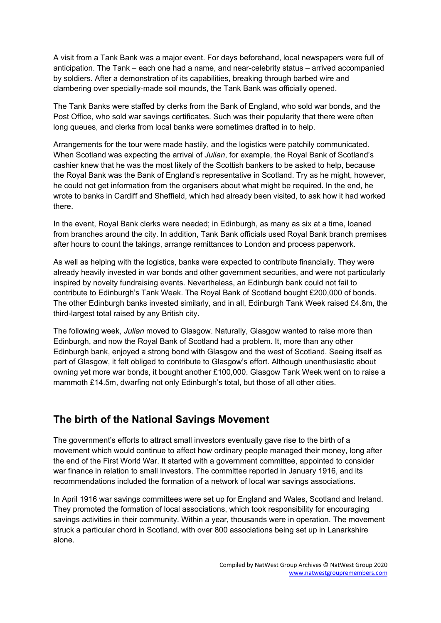A visit from a Tank Bank was a major event. For days beforehand, local newspapers were full of anticipation. The Tank – each one had a name, and near-celebrity status – arrived accompanied by soldiers. After a demonstration of its capabilities, breaking through barbed wire and clambering over specially-made soil mounds, the Tank Bank was officially opened.

The Tank Banks were staffed by clerks from the Bank of England, who sold war bonds, and the Post Office, who sold war savings certificates. Such was their popularity that there were often long queues, and clerks from local banks were sometimes drafted in to help.

Arrangements for the tour were made hastily, and the logistics were patchily communicated. When Scotland was expecting the arrival of *Julian*, for example, the Royal Bank of Scotland's cashier knew that he was the most likely of the Scottish bankers to be asked to help, because the Royal Bank was the Bank of England's representative in Scotland. Try as he might, however, he could not get information from the organisers about what might be required. In the end, he wrote to banks in Cardiff and Sheffield, which had already been visited, to ask how it had worked there.

In the event, Royal Bank clerks were needed; in Edinburgh, as many as six at a time, loaned from branches around the city. In addition, Tank Bank officials used Royal Bank branch premises after hours to count the takings, arrange remittances to London and process paperwork.

As well as helping with the logistics, banks were expected to contribute financially. They were already heavily invested in war bonds and other government securities, and were not particularly inspired by novelty fundraising events. Nevertheless, an Edinburgh bank could not fail to contribute to Edinburgh's Tank Week. The Royal Bank of Scotland bought £200,000 of bonds. The other Edinburgh banks invested similarly, and in all, Edinburgh Tank Week raised £4.8m, the third-largest total raised by any British city.

The following week, *Julian* moved to Glasgow. Naturally, Glasgow wanted to raise more than Edinburgh, and now the Royal Bank of Scotland had a problem. It, more than any other Edinburgh bank, enjoyed a strong bond with Glasgow and the west of Scotland. Seeing itself as part of Glasgow, it felt obliged to contribute to Glasgow's effort. Although unenthusiastic about owning yet more war bonds, it bought another £100,000. Glasgow Tank Week went on to raise a mammoth £14.5m, dwarfing not only Edinburgh's total, but those of all other cities.

## **The birth of the National Savings Movement**

The government's efforts to attract small investors eventually gave rise to the birth of a movement which would continue to affect how ordinary people managed their money, long after the end of the First World War. It started with a government committee, appointed to consider war finance in relation to small investors. The committee reported in January 1916, and its recommendations included the formation of a network of local war savings associations.

In April 1916 war savings committees were set up for England and Wales, Scotland and Ireland. They promoted the formation of local associations, which took responsibility for encouraging savings activities in their community. Within a year, thousands were in operation. The movement struck a particular chord in Scotland, with over 800 associations being set up in Lanarkshire alone.